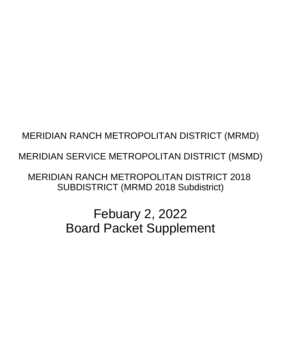# MERIDIAN RANCH METROPOLITAN DISTRICT (MRMD)

# MERIDIAN SERVICE METROPOLITAN DISTRICT (MSMD)

**MERIDIAN RANCH METROPOLITAN DISTRICT 2018 SUBDISTRICT (MRMD 2018 Subdistrict)** 

> **Febuary 2, 2022 Board Packet Supplement**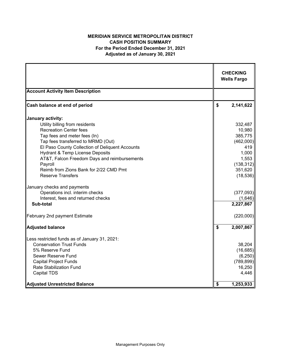## **MERIDIAN SERVICE METROPOLITAN DISTRICT CASH POSITION SUMMARY For the Period Ended December 31, 2021 Adjusted as of January 30, 2021**

|                                                                    | <b>CHECKING</b><br><b>Wells Fargo</b> |
|--------------------------------------------------------------------|---------------------------------------|
| <b>Account Activity Item Description</b>                           |                                       |
| Cash balance at end of period                                      | \$<br>2,141,622                       |
| January activity:                                                  |                                       |
| Utility billing from residents                                     | 332,487                               |
| <b>Recreation Center fees</b><br>Tap fees and meter fees (In)      | 10,980<br>385,775                     |
| Tap fees transferred to MRMD (Out)                                 | (462,000)                             |
| El Paso County Collection of Deliquent Accounts                    | 419                                   |
| <b>Hydrant &amp; Temp License Deposits</b>                         | 1,000                                 |
| AT&T, Falcon Freedom Days and reimbursements                       | 1,553                                 |
| Payroll                                                            | (138, 312)                            |
| Reimb from Zions Bank for 2/22 CMD Pmt<br><b>Reserve Transfers</b> | 351,620<br>(18, 536)                  |
|                                                                    |                                       |
| January checks and payments                                        |                                       |
| Operations incl. interim checks                                    | (377,093)                             |
| Interest, fees and returned checks                                 | (1,646)                               |
| Sub-total                                                          | 2,227,867                             |
| February 2nd payment Estimate                                      | (220,000)                             |
|                                                                    |                                       |
| <b>Adjusted balance</b>                                            | \$<br>2,007,867                       |
| Less restricted funds as of January 31, 2021:                      |                                       |
| <b>Conservation Trust Funds</b>                                    | 38,204                                |
| 5% Reserve Fund                                                    | (16, 685)                             |
| Sewer Reserve Fund                                                 | (6, 250)                              |
| <b>Capital Project Funds</b><br><b>Rate Stabilization Fund</b>     | (789, 899)<br>16,250                  |
| <b>Capital TDS</b>                                                 | 4,446                                 |
|                                                                    |                                       |
| <b>Adjusted Unrestricted Balance</b>                               | \$<br>1,253,933                       |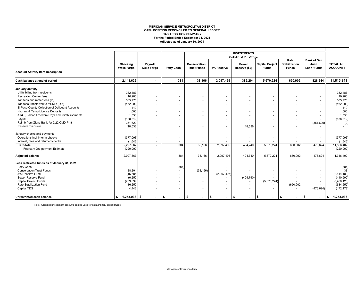#### **MERIDIAN SERVICE METROPOLITAN DISTRICT CASH POSITION RECONCILED TO GENERAL LEDGER For the Period Ended December 31, 2021 Adjusted as of January 30, 2021 CASH POSITION SUMMARY**

|                                                 |                                |                               |                          |                                    |                          | <b>INVESTMENTS</b>         |                                        |                                              |                                           |                                     |
|-------------------------------------------------|--------------------------------|-------------------------------|--------------------------|------------------------------------|--------------------------|----------------------------|----------------------------------------|----------------------------------------------|-------------------------------------------|-------------------------------------|
|                                                 |                                |                               |                          |                                    |                          | <b>ColoTrust Plus/Edge</b> |                                        |                                              |                                           |                                     |
|                                                 | Checking<br><b>Wells Fargo</b> | Payroll<br><b>Wells Fargo</b> | <b>Petty Cash</b>        | Conservation<br><b>Trust Funds</b> | 5% Reserve               | Sewer<br>Reserve (\$2)     | <b>Capital Project</b><br><b>Funds</b> | Rate<br><b>Stabilization</b><br><b>Funds</b> | <b>Bank of San</b><br>Juan<br>Loan 'Funds | <b>TOTAL ALL</b><br><b>ACCOUNTS</b> |
| <b>Account Activity Item Description</b>        |                                |                               |                          |                                    |                          |                            |                                        |                                              |                                           |                                     |
| Cash balance at end of period                   | 2,141,622                      |                               | 384                      | 38,166                             | 2,097,495                | 386,204                    | 5,670,224                              | 650.902                                      | 828,244                                   | 11,813,241                          |
| January activity:                               |                                |                               |                          |                                    |                          |                            |                                        |                                              |                                           |                                     |
| Utility billing from residents                  | 332,487                        | $\blacksquare$                |                          |                                    |                          |                            |                                        |                                              |                                           | 332,487                             |
| <b>Recreation Center fees</b>                   | 10,980                         | $\ddot{\phantom{1}}$          |                          |                                    |                          |                            |                                        |                                              |                                           | 10,980                              |
| Tap fees and meter fees (In)                    | 385,775                        | $\overline{\phantom{a}}$      |                          |                                    |                          |                            |                                        |                                              |                                           | 385,775                             |
| Tap fees transferred to MRMD (Out)              | (462,000)                      |                               |                          |                                    |                          |                            |                                        |                                              |                                           | (462,000)                           |
| El Paso County Collection of Deliquent Accounts | 419                            |                               |                          |                                    |                          |                            |                                        |                                              |                                           | 419                                 |
| Hydrant & Temp License Deposits                 | 1,000                          |                               |                          |                                    |                          |                            |                                        |                                              |                                           | 1,000                               |
| AT&T, Falcon Freedom Days and reimbursements    | 1,553                          |                               |                          |                                    |                          |                            |                                        |                                              |                                           | 1,553                               |
| Payroll                                         | (138, 312)                     |                               |                          |                                    |                          |                            |                                        |                                              |                                           | (138, 312)                          |
| Reimb from Zions Bank for 2/22 CMD Pmt          | 351,620                        |                               |                          |                                    |                          |                            |                                        |                                              | (351, 620)                                | (0)                                 |
| <b>Reserve Transfers</b>                        | (18, 536)                      |                               |                          |                                    | $\overline{\phantom{a}}$ | 18,536                     |                                        |                                              |                                           |                                     |
| January checks and payments                     |                                |                               |                          |                                    |                          |                            |                                        |                                              |                                           |                                     |
| Operations incl. interim checks                 | (377,093)                      | $\overline{\phantom{a}}$      | $\overline{\phantom{a}}$ |                                    | $\overline{\phantom{a}}$ | $\overline{\phantom{a}}$   |                                        |                                              | $\overline{\phantom{a}}$                  | (377,093)                           |
| Interest, fees and returned checks              | (1,646)                        | ٠                             |                          |                                    |                          |                            |                                        |                                              |                                           | (1,646)                             |
| Sub-total                                       | 2,227,867                      | $\overline{a}$                | 384                      | 38,166                             | 2,097,495                | 404,740                    | 5,670,224                              | 650,902                                      | 476,624                                   | 11,566,402                          |
| February 2nd payment Estimate                   | (220,000)                      | $\overline{\phantom{a}}$      | ٠                        |                                    | ٠                        |                            |                                        |                                              |                                           | (220,000)                           |
| <b>Adjusted balance</b>                         | 2,007,867                      |                               | 384                      | 38,166                             | 2,097,495                | 404,740                    | 5,670,224                              | 650,902                                      | 476,624                                   | 11,346,402                          |
| Less restricted funds as of January 31, 2021:   |                                |                               |                          |                                    |                          |                            |                                        |                                              |                                           |                                     |
| Petty Cash                                      | ٠                              | $\blacksquare$                | (384)                    |                                    | ٠                        |                            |                                        |                                              | $\overline{\phantom{a}}$                  | (384)                               |
| <b>Conservation Trust Funds</b>                 | 38,204                         | $\blacksquare$                |                          | (38, 166)                          |                          |                            |                                        |                                              |                                           | 38                                  |
| 5% Reserve Fund                                 | (16, 685)                      | $\blacksquare$                | $\overline{\phantom{a}}$ | $\overline{\phantom{a}}$           | (2,097,495)              |                            |                                        |                                              | $\overline{\phantom{a}}$                  | (2, 114, 180)                       |
| Sewer Reserve Fund                              | (6, 250)                       |                               |                          | $\overline{\phantom{0}}$           |                          | (404, 740)                 |                                        |                                              |                                           | (410,990)                           |
| <b>Capital Project Funds</b>                    | (789, 899)                     |                               |                          |                                    |                          |                            | (5,670,224)                            |                                              | $\overline{\phantom{a}}$                  | (6,460,123)                         |
| Rate Stabilization Fund                         | 16,250                         |                               |                          |                                    |                          |                            |                                        | (650, 902)                                   |                                           | (634, 652)                          |
| Capital TDS                                     | 4,446                          | $\blacksquare$                | $\overline{\phantom{a}}$ | ٠                                  | $\blacksquare$           |                            |                                        |                                              | (476, 624)                                | (472, 178)                          |
| Unrestricted cash balance                       | $\frac{1}{2}$ 1,253,933 \$     | $\sim$                        | <b>S</b><br>$\sim$       | \$<br>$\sim$                       | ∣\$<br>$\sim$            | \$<br>$\sim$               | \$<br>$\sim$                           | ll \$<br>$\sim$                              | \$<br>$\sim$                              | 1,253,933<br>\$                     |

Note: Additional investment accounts can be used for extraordinary expenditures.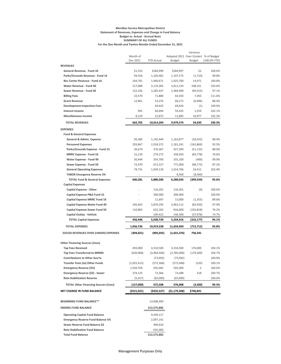#### **Meridian Service Metropolitan District Statement of Revenues, Expenses and Change in Fund Balance Budget vs. Actual - Accrual Basis SUMMARY OF ALL FUNDS For the One Month and Twelve Months Ended December 31, 2021**

|                                                                          |                          |                         |                                       | Variance      |              |
|--------------------------------------------------------------------------|--------------------------|-------------------------|---------------------------------------|---------------|--------------|
|                                                                          | Month of                 |                         | Adopted 2021 Over (Under) % of Budget |               |              |
|                                                                          | Dec 2021                 | <b>YTD Actual</b>       | Budget                                | <b>Budget</b> | (100.0% YTD) |
| <b>REVENUES</b>                                                          |                          |                         |                                       |               |              |
| General Revenue - Fund 10                                                | \$1,553                  | \$284,999               | \$284,997                             | \$2           | 100.0%       |
| Parks/Grounds Revenue - Fund 15                                          | 94,556                   | 1,105,465               | 1,107,175                             | (1,710)       | 99.8%        |
| Rec Center Revenue - Fund 16                                             | 164,701                  | 1,940,671               | 1,925,700                             | 14,971        | 100.8%       |
| Water Revenue - Fund 40                                                  | 217,088                  | 3,119,365               | 3,011,134                             | 108,231       | 103.6%       |
| Sewer Revenue - Fund 50                                                  | 152,256                  | 3,285,437               | 3,384,990                             | (99, 553)     | 97.1%        |
| <b>Billing Fees</b>                                                      | 10,570                   | 71,800                  | 64,350                                | 7,450         | 111.6%       |
| <b>Grant Revenue</b>                                                     | 12,861                   | 53,276                  | 60,272                                | (6,996)       | 88.4%        |
| <b>Development Inspection Fees</b>                                       |                          | 69,625                  | 69,626                                | (1)           | 100.0%       |
| <b>Interest Income</b>                                                   | 991                      | 60,694                  | 59,435                                | 1,259         | 102.1%       |
| <b>Miscellaneous Income</b>                                              | 8,129                    | 22,872                  | 11,895                                | 10,977        | 192.3%       |
| <b>TOTAL REVENUES</b>                                                    | 662,705                  | 10,014,204              | 9,979,574                             | 34,630        | 100.3%       |
| <b>EXPENSES</b>                                                          |                          |                         |                                       |               |              |
| <b>Fund &amp; General Expenses</b>                                       |                          |                         |                                       |               |              |
| General & Admin. Expense                                                 | 50,385                   | 1,145,444               | 1,163,877                             | (18, 433)     | 98.4%        |
| <b>Personnel Expenses</b>                                                | 293,867                  | 2,018,372               | 2,181,241                             | (162, 869)    | 92.5%        |
| Parks/Grounds Expense - Fund 15                                          | 26,674                   | 376,367                 | 427,500                               | (51, 133)     | 88.0%        |
| <b>MRRC Expense - Fund 16</b>                                            | 31,210                   | 274,272                 | 358,050                               | (83, 778)     | 76.6%        |
| Water Expense - Fund 40                                                  | 50,444                   | 354,700                 | 355,100                               | (400)         | 99.9%        |
| Sewer Expense - Fund 50                                                  | 72,970                   | 672,227                 | 771,000                               | (98, 773)     | 87.2%        |
| <b>General Operating Expenses</b>                                        | 74,731                   | 1,039,118               | 1,014,706                             | 24,412        | 102.4%       |
| <b>TABOR Emergency Reserve 3%</b>                                        | $\overline{\phantom{a}}$ |                         | 8,560                                 | (8,560)       |              |
| <b>TOTAL Fund &amp; General Expenses</b>                                 | 600,281                  | 5,880,500               | 6,280,034                             | (399,534)     | 93.6%        |
| <b>Capital Expenses</b>                                                  |                          |                         |                                       |               |              |
| <b>Capital Expense - Other</b>                                           |                          | 116,292                 | 116,301                               | (9)           | 100.0%       |
| Capital Expense P&G Fund 15                                              |                          | 300,000                 | 300,000                               |               | 100.0%       |
| <b>Capital Expense MRRC Fund 16</b>                                      |                          | 11,647                  | 13,000                                | (1, 353)      | 89.6%        |
| Capital Expense Water Fund 40                                            | 345,643                  | 3,879,195               | 3,963,115                             | (83, 920)     | 97.9%        |
| <b>Capital Expense Sewer Fund 50</b>                                     | 110,803                  | 622,182                 | 816,000                               | (193, 818)    | 76.2%        |
| Capital Outlay - Vehicle                                                 |                          | 109,422                 | 146,500                               | (37,078)      | 74.7%        |
| <b>TOTAL Capital Expenses</b>                                            | 456,446                  | 5,038,739               | 5,354,916                             | (316,177)     | 94.1%        |
| <b>TOTAL EXPENSES</b>                                                    | 1,056,726                | 10,919,238              | 11,634,950                            | (715,712)     | 93.8%        |
| <b>EXCESS REVENUES OVER (UNDER) EXPENSES</b>                             | (394, 021)               | (905, 035)              | (1,655,376)                           | 750,341       |              |
| <b>Other Financing Sources (Uses)</b>                                    |                          |                         |                                       |               |              |
| <b>Tap Fees Received</b>                                                 | 493,000                  | 4,510,500               | 4,334,500                             | 176,000       | 104.1%       |
| <b>Tap Fees Transferred to MRMD</b>                                      | (620,000)                | (3,964,500)             | (3,785,000)                           | (179, 500)    | 104.7%       |
| <b>Contributions to Other Gov'ts</b>                                     |                          | (73, 492)               | (73, 492)                             |               | 100.0%       |
| <b>Transfer from (to) Other Funds</b>                                    |                          | (572, 568)              | (572, 048)                            | (520)         | 100.1%       |
| <b>Emergency Reserve (5%)</b>                                            | (1,925,413)<br>1,556,704 | 565,002                 | 565,000                               | 2             | 100.0%       |
| Emergency Reserve (\$2) - Sewer                                          | 374,125                  | 72,566                  | 72,048                                | 518           | 100.7%       |
| <b>Rate Stabilization Reserve</b>                                        |                          | (65,000)                |                                       |               |              |
|                                                                          | (5, 417)                 |                         | (65,000)                              |               | 100.0%       |
| <b>TOTAL Other Financing Sources (Uses)</b>                              | (127,000)                | 472,508                 | 476,008                               | (3,500)       | 99.3%        |
| NET CHANGE IN FUND BALANCE                                               | (5521, 021)              | (\$432,527)             | (\$1,179,368)                         | \$746,841     |              |
| <b>BEGINNING FUND BALANCE**</b>                                          |                          | 13,008,409              |                                       |               |              |
| <b>ENDING FUND BALANCE</b>                                               |                          | \$12,575,882            |                                       |               |              |
|                                                                          |                          |                         |                                       |               |              |
| <b>Operating Capital Fund Balance</b>                                    |                          | 9,439,117               |                                       |               |              |
| <b>Emergency Reserve Fund Balance 5%</b>                                 |                          | 2,097,141               |                                       |               |              |
| Sewer Reserve Fund Balance \$2<br><b>Rate Stabilization Fund Balance</b> |                          | 404,624                 |                                       |               |              |
| <b>Total Fund Balance</b>                                                |                          | 635,000<br>\$12,575,882 |                                       |               |              |
|                                                                          |                          |                         |                                       |               |              |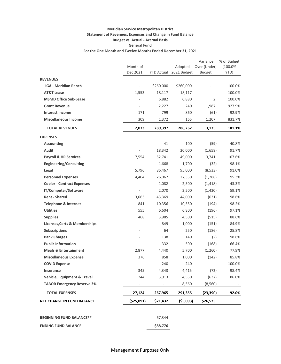### **Meridian Service Metropolitan District Statement of Revenues, Expenses and Change in Fund Balance Budget vs. Actual - Accrual Basis General Fund For the One Month and Twelve Months Ended December 31, 2021**

|                                          |                          |                   |             | Variance                 | % of Budget |
|------------------------------------------|--------------------------|-------------------|-------------|--------------------------|-------------|
|                                          | Month of                 |                   | Adopted     | Over (Under)             | $(100.0\%$  |
|                                          | Dec 2021                 | <b>YTD Actual</b> | 2021 Budget | <b>Budget</b>            | YTD)        |
| <b>REVENUES</b>                          |                          |                   |             |                          |             |
| <b>IGA - Meridian Ranch</b>              | $\blacksquare$           | \$260,000         | \$260,000   |                          | 100.0%      |
| <b>AT&amp;T Lease</b>                    | 1,553                    | 18,117            | 18,117      |                          | 100.0%      |
| <b>MSMD Office Sub-Lease</b>             |                          | 6,882             | 6,880       | $\overline{2}$           | 100.0%      |
| <b>Grant Revenue</b>                     |                          | 2,227             | 240         | 1,987                    | 927.9%      |
| <b>Interest Income</b>                   | 171                      | 799               | 860         | (61)                     | 92.9%       |
| <b>Miscellaneous Income</b>              | 309                      | 1,372             | 165         | 1,207                    | 831.7%      |
| <b>TOTAL REVENUES</b>                    | 2,033                    | 289,397           | 286,262     | 3,135                    | 101.1%      |
| <b>EXPENSES</b>                          |                          |                   |             |                          |             |
| <b>Accounting</b>                        | $\overline{\phantom{a}}$ | 41                | 100         | (59)                     | 40.8%       |
| <b>Audit</b>                             |                          | 18,342            | 20,000      | (1,658)                  | 91.7%       |
| <b>Payroll &amp; HR Services</b>         | 7,554                    | 52,741            | 49,000      | 3,741                    | 107.6%      |
| <b>Engineering/Consulting</b>            | $\overline{\phantom{a}}$ | 1,668             | 1,700       | (32)                     | 98.1%       |
| Legal                                    | 5,796                    | 86,467            | 95,000      | (8,533)                  | 91.0%       |
| <b>Personnel Expenses</b>                | 4,404                    | 26,062            | 27,350      | (1, 288)                 | 95.3%       |
| <b>Copier - Contract Expenses</b>        | $\overline{\phantom{a}}$ | 1,082             | 2,500       | (1, 418)                 | 43.3%       |
| IT/Computer/Software                     | $\overline{\phantom{a}}$ | 2,070             | 3,500       | (1,430)                  | 59.1%       |
| <b>Rent - Shared</b>                     | 3,663                    | 43,369            | 44,000      | (631)                    | 98.6%       |
| <b>Telephone &amp; Internet</b>          | 841                      | 10,356            | 10,550      | (194)                    | 98.2%       |
| <b>Utilities</b>                         | 555                      | 6,604             | 6,800       | (196)                    | 97.1%       |
| <b>Supplies</b>                          | 468                      | 3,985             | 4,500       | (515)                    | 88.6%       |
| <b>Licenses, Certs &amp; Memberships</b> | $\overline{\phantom{a}}$ | 849               | 1,000       | (151)                    | 84.9%       |
| <b>Subscriptions</b>                     | $\sim$                   | 64                | 250         | (186)                    | 25.8%       |
| <b>Bank Charges</b>                      |                          | 138               | 140         | (2)                      | 98.6%       |
| <b>Public Information</b>                |                          | 332               | 500         | (168)                    | 66.4%       |
| <b>Meals &amp; Entertainment</b>         | 2,877                    | 4,440             | 5,700       | (1,260)                  | 77.9%       |
| <b>Miscellaneous Expense</b>             | 376                      | 858               | 1,000       | (142)                    | 85.8%       |
| <b>COVID Expense</b>                     |                          | 240               | 240         | $\overline{\phantom{a}}$ | 100.0%      |
| Insurance                                | 345                      | 4,343             | 4,415       | (72)                     | 98.4%       |
| <b>Vehicle, Equipment &amp; Travel</b>   | 244                      | 3,913             | 4,550       | (637)                    | 86.0%       |
| <b>TABOR Emergency Reserve 3%</b>        | $\overline{\phantom{a}}$ |                   | 8,560       | (8, 560)                 |             |
| <b>TOTAL EXPENSES</b>                    | 27,124                   | 267,965           | 291,355     | (23, 390)                | 92.0%       |
| <b>NET CHANGE IN FUND BALANCE</b>        | ( \$25,091)              | \$21,432          | (\$5,093)   | \$26,525                 |             |
| <b>BEGINNING FUND BALANCE**</b>          |                          | 67,344            |             |                          |             |
| <b>ENDING FUND BALANCE</b>               |                          | \$88,776          |             |                          |             |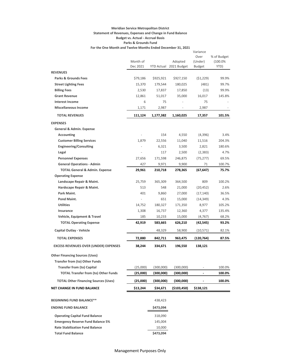### **Meridian Service Metropolitan District Statement of Revenues, Expenses and Change in Fund Balance Budget vs. Actual - Accrual Basis Parks & Grounds Fund For the One Month and Twelve Months Ended December 31, 2021**

|                                              |                      |           |                                   | Variance          |                 |
|----------------------------------------------|----------------------|-----------|-----------------------------------|-------------------|-----------------|
|                                              |                      |           |                                   | Over              | % of Budget     |
|                                              | Month of<br>Dec 2021 |           | Adopted<br>YTD Actual 2021 Budget | (Under)<br>Budget | (100.0%<br>YTD) |
| <b>REVENUES</b>                              |                      |           |                                   |                   |                 |
| <b>Parks &amp; Grounds Fees</b>              | \$79,186             | \$925,921 | \$927,150                         | (51, 229)         | 99.9%           |
| <b>Street Lighting Fees</b>                  | 15,370               | 179,544   | 180,025                           | (481)             | 99.7%           |
| <b>Billing Fees</b>                          | 2,530                | 17,837    | 17,850                            | (13)              | 99.9%           |
| <b>Grant Revenue</b>                         | 12,861               | 51,017    | 35,000                            | 16,017            | 145.8%          |
| <b>Interest Income</b>                       | 6                    | 75        | $\overline{\phantom{a}}$          | 75                |                 |
| <b>Miscellaneous Income</b>                  | 1,171                | 2,987     |                                   | 2,987             |                 |
| <b>TOTAL REVENUES</b>                        | 111,124              | 1,177,382 | 1,160,025                         | 17,357            | 101.5%          |
| <b>EXPENSES</b>                              |                      |           |                                   |                   |                 |
| General & Admin. Expense                     |                      |           |                                   |                   |                 |
| Accounting                                   |                      | 154       | 4,550                             | (4,396)           | 3.4%            |
| <b>Customer Billing Services</b>             | 1,879                | 22,556    | 11,040                            | 11,516            | 204.3%          |
| <b>Engineering/Consulting</b>                |                      | 6,321     | 3,500                             | 2,821             | 180.6%          |
| Legal                                        |                      | 117       | 2,500                             | (2, 383)          | 4.7%            |
| <b>Personnel Expenses</b>                    | 27,656               | 171,598   | 246,875                           | (75, 277)         | 69.5%           |
| <b>General Operations - Admin</b>            | 427                  | 9,971     | 9,900                             | 71                | 100.7%          |
| <b>TOTAL General &amp; Admin. Expense</b>    | 29,961               | 210,718   | 278,365                           | (67, 647)         | 75.7%           |
| <b>Operating Expense</b>                     |                      |           |                                   |                   |                 |
| Landscape Repair & Maint.                    | 25,759               | 365,309   | 364,500                           | 809               | 100.2%          |
| Hardscape Repair & Maint.                    | 513                  | 548       | 21,000                            | (20, 452)         | 2.6%            |
| Park Maint.                                  | 401                  | 9,860     | 27,000                            | (17, 140)         | 36.5%           |
| Pond Maint.                                  |                      | 651       | 15,000                            | (14, 349)         | 4.3%            |
| <b>Utilities</b>                             | 14,752               | 180,327   | 171,350                           | 8,977             | 105.2%          |
| Insurance                                    | 1,308                | 16,737    | 12,360                            | 4,377             | 135.4%          |
| Vehicle, Equipment & Travel                  | 185                  | 10,233    | 15,000                            | (4, 767)          | 68.2%           |
| <b>TOTAL Operating Expense</b>               | 42,919               | 583,665   | 626,210                           | (42, 545)         | 93.2%           |
| Capital Outlay - Vehicle                     |                      | 48,329    | 58,900                            | (10,571)          | 82.1%           |
| <b>TOTAL EXPENSES</b>                        | 72,880               | 842,711   | 963,475                           | (120, 764)        | 87.5%           |
| <b>EXCESS REVENUES OVER (UNDER) EXPENSES</b> | 38,244               | 334,671   | 196,550                           | 138,121           |                 |
| <b>Other Financing Sources (Uses)</b>        |                      |           |                                   |                   |                 |
| <b>Transfer from (to) Other Funds</b>        |                      |           |                                   |                   |                 |
| <b>Transfer from (to) Capital</b>            | (25,000)             | (300,000) | (300,000)                         |                   | 100.0%          |
| <b>TOTAL Transfer from (to) Other Funds</b>  | (25,000)             | (300,000) | (300,000)                         |                   | 100.0%          |
| <b>TOTAL Other Financing Sources (Uses)</b>  | (25,000)             | (300,000) | (300,000)                         |                   | 100.0%          |
| <b>NET CHANGE IN FUND BALANCE</b>            | \$13,244             | \$34,671  | (\$103,450)                       | \$138,121         |                 |
|                                              |                      |           |                                   |                   |                 |
| <b>BEGINNING FUND BALANCE**</b>              |                      | 438,423   |                                   |                   |                 |
| <b>ENDING FUND BALANCE</b>                   |                      | \$473,094 |                                   |                   |                 |
| <b>Operating Capital Fund Balance</b>        |                      | 318,090   |                                   |                   |                 |
| <b>Emergency Reserve Fund Balance 5%</b>     |                      | 145,004   |                                   |                   |                 |
| <b>Rate Stabilization Fund Balance</b>       |                      | 10,000    |                                   |                   |                 |
| <b>Total Fund Balance</b>                    |                      | \$473,094 |                                   |                   |                 |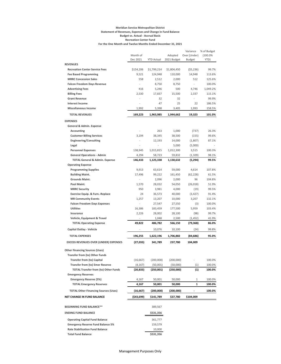#### **Meridian Service Metropolitan District Statement of Revenues, Expenses and Change in Fund Balance Budget vs. Actual - Accrual Basis Recreation Center Fund For the One Month and Twelve Months Ended December 31, 2021**

|                                                                   |                          |                   |                   | Variance     | % of Budget      |
|-------------------------------------------------------------------|--------------------------|-------------------|-------------------|--------------|------------------|
|                                                                   | Month of<br>Dec 2021     |                   | Adopted           | Over (Under) | (100.0%<br>YTD)  |
| <b>REVENUES</b>                                                   |                          | <b>YTD Actual</b> | 2021 Budget       | Budget       |                  |
| <b>Recreation Center Service Fees</b>                             | \$154,206                | \$1,799,214       | \$1,804,450       | (55, 236)    | 99.7%            |
| <b>Fee Based Programming</b>                                      | 9,521                    | 124,948           | 110,000           | 14,948       | 113.6%           |
| <b>MRRC Concession Sales</b>                                      | 558                      | 2,512             | 2,000             | 512          | 125.6%           |
| <b>Falcon Freedom Days Revenue</b>                                | L.                       | 8,750             | 8,750             |              | 100.0%           |
| <b>Advertising Fees</b>                                           | 416                      | 5,246             | 500               | 4,746        | 1,049.2%         |
| <b>Billing Fees</b>                                               | 2,530                    | 17,837            | 15,500            | 2,337        | 115.1%           |
| <b>Grant Revenue</b>                                              |                          | 32                | 32                |              | 99.9%            |
| <b>Interest Income</b>                                            |                          | 47                | 25                | 22           | 186.5%           |
| <b>Miscellaneous Income</b>                                       | 1,992                    | 5,398             | 3,405             | 1,993        | 158.5%           |
| <b>TOTAL REVENUES</b>                                             | 169,223                  | 1,963,985         | 1,944,662         | 19,323       | 101.0%           |
| <b>EXPENSES</b>                                                   |                          |                   |                   |              |                  |
| General & Admin. Expense                                          |                          |                   |                   |              |                  |
| Accounting                                                        |                          | 263               | 1,000             | (737)        | 26.3%            |
| <b>Customer Billing Services</b>                                  | 3,194                    | 38,345            | 38,500            | (155)        | 99.6%            |
| <b>Engineering/Consulting</b>                                     | ä,                       | 12,193            | 14,000            | (1,807)      | 87.1%            |
| Legal                                                             |                          |                   | 5,000             | (5,000)      |                  |
| <b>Personnel Expenses</b>                                         | 138,945                  | 1,015,815         | 1,012,300         | 3,515        | 100.3%           |
| <b>General Operations - Admin</b>                                 | 4,294                    | 58,723            | 59,832            | (1, 109)     | 98.1%            |
| <b>TOTAL General &amp; Admin. Expense</b>                         | 146,433                  | 1,125,338         | 1,130,632         | (5,294)      | 99.5%            |
| <b>Operating Expense</b>                                          |                          |                   |                   |              |                  |
| <b>Programming Supplies</b>                                       | 9,913                    | 63,614            | 59,000            | 4,614        | 107.8%           |
| <b>Building Maint.</b>                                            | 17,496                   | 99,222            | 161,450           | (62, 228)    | 61.5%            |
| <b>Grounds Maint.</b>                                             |                          | 2,096             | 2,000             | 96           | 104.8%           |
| Pool Maint.                                                       | 1,570                    | 28,032            | 54,050            | (26, 018)    | 51.9%            |
| <b>MRRC Security</b>                                              | 950                      | 3,981             | 4,000             | (19)         | 99.5%            |
| Exercise Equip. & Furn.-Replace                                   | 24                       | 36,573            | 40,000            | (3, 427)     | 91.4%            |
| <b>MR Community Events</b><br><b>Falcon Freedom Days Expenses</b> | 1,257<br>÷,              | 13,207<br>27,547  | 10,000            | 3,207<br>(3) | 132.1%<br>100.0% |
| <b>Utilities</b>                                                  | 16,386                   | 183,459           | 27,550<br>177,500 | 5,959        | 103.4%           |
| Insurance                                                         | 2,226                    | 28,002            | 28,100            | (98)         | 99.7%            |
| Vehicle, Equipment & Travel                                       |                          | 1,048             | 2,500             | (1, 452)     | 41.9%            |
| <b>TOTAL Operating Expense</b>                                    | 49,822                   | 486,782           | 566,150           | (79, 368)    | 86.0%            |
| Capital Outlay - Vehicle                                          | $\overline{\phantom{a}}$ | 10,076            | 10,100            | (24)         | 99.8%            |
| <b>TOTAL EXPENSES</b>                                             | 196,255                  | 1,622,196         | 1,706,882         | (84, 686)    | 95.0%            |
| <b>EXCESS REVENUES OVER (UNDER) EXPENSES</b>                      | (27, 033)                | 341,789           | 237,780           | 104,009      |                  |
|                                                                   |                          |                   |                   |              |                  |
| <b>Other Financing Sources (Uses)</b>                             |                          |                   |                   |              |                  |
| Transfer from (to) Other Funds                                    |                          |                   |                   |              |                  |
| <b>Transfer from (to) Capital</b>                                 | (16, 667)                | (200,000)         | (200,000)         |              | 100.0%           |
| <b>Transfer from (to) Emer Reserve</b>                            | (4, 167)                 | (50,001)          | (50,000)          | (1)          | 100.0%           |
| <b>TOTAL Transfer from (to) Other Funds</b>                       | (20, 833)                | (250,001)         | (250,000)         | (1)          | 100.0%           |
| <b>Emergency Reserves</b>                                         |                          |                   |                   |              |                  |
| <b>Emergency Reserve (5%)</b>                                     | 4,167                    | 50,001            | 50,000            | 1            | 100.0%           |
| <b>TOTAL Emergency Reserves</b>                                   | 4,167                    | 50,001            | 50,000            | 1            | 100.0%           |
| <b>TOTAL Other Financing Sources (Uses)</b>                       | (16, 667)                | (200,000)         | (200,000)         |              | 100.0%           |
| NET CHANGE IN FUND BALANCE                                        | (\$43,699)               | \$141,789         | \$37,780          | \$104,009    |                  |
| <b>BEGINNING FUND BALANCE**</b>                                   |                          | 389,567           |                   |              |                  |
| <b>ENDING FUND BALANCE</b>                                        |                          | \$531,356         |                   |              |                  |
| <b>Operating Capital Fund Balance</b>                             |                          | 361,777           |                   |              |                  |
| <b>Emergency Reserve Fund Balance 5%</b>                          |                          | 159,579           |                   |              |                  |
| <b>Rate Stabilization Fund Balance</b>                            |                          | 10,000            |                   |              |                  |
| <b>Total Fund Balance</b>                                         |                          | \$531,356         |                   |              |                  |
|                                                                   |                          |                   |                   |              |                  |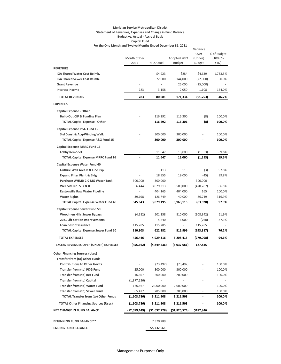#### **Meridian Service Metropolitan District Statement of Revenues, Expenses and Change in Fund Balance Budget vs. Actual - Accrual Basis Capital Fund**

**For the One Month and Twelve Months Ended December 31, 2021**

|                                                                               |               |                      |                          | Variance                     |             |
|-------------------------------------------------------------------------------|---------------|----------------------|--------------------------|------------------------------|-------------|
|                                                                               |               |                      |                          | Over                         | % of Budget |
|                                                                               | Month of Dec  |                      | Adopted 2021             | (Under)                      | (100.0%     |
|                                                                               | 2021          | <b>YTD Actual</b>    | <b>Budget</b>            | Budget                       | YTD)        |
| <b>REVENUES</b>                                                               |               |                      |                          |                              |             |
| IGA Shared Water Cost Reimb.                                                  |               | \$4,923              | \$284                    | \$4,639                      | 1,733.5%    |
| <b>IGA Shared Sewer Cost Reimb.</b>                                           |               | 72,000               | 144,000                  | (72,000)                     | 50.0%       |
| <b>Grant Revenue</b>                                                          | ä,            |                      | 25,000                   | (25,000)                     |             |
| <b>Interest Income</b>                                                        | 783           | 3,158                | 2,050                    | 1,108                        | 154.0%      |
| <b>TOTAL REVENUES</b>                                                         | 783           | 80,081               | 171,334                  | (91, 253)                    | 46.7%       |
| <b>EXPENSES</b>                                                               |               |                      |                          |                              |             |
| <b>Capital Expense - Other</b>                                                |               |                      |                          |                              |             |
| <b>Build-Out CIP &amp; Funding Plan</b>                                       |               | 116,292              | 116,300                  | (8)                          | 100.0%      |
| <b>TOTAL Capital Expense - Other</b>                                          |               | 116,292              | 116,301                  | (8)                          | 100.0%      |
| Capital Expense P&G Fund 15                                                   |               |                      |                          |                              |             |
| 3rd Const & Acq-Winding Walk                                                  |               | 300,000              | 300,000                  |                              | 100.0%      |
| <b>TOTAL Capital Expense P&amp;G Fund 15</b>                                  |               | 300,000              | 300,000                  | $\overline{\phantom{a}}$     | 100.0%      |
|                                                                               |               |                      |                          |                              |             |
| <b>Capital Expense MRRC Fund 16</b>                                           |               |                      |                          |                              |             |
| <b>Lobby Remodel</b>                                                          |               | 11,647               | 13,000                   | (1, 353)                     | 89.6%       |
| <b>TOTAL Capital Expense MRRC Fund 16</b>                                     |               | 11,647               | 13,000                   | (1, 353)                     | 89.6%       |
| <b>Capital Expense Water Fund 40</b>                                          |               |                      |                          |                              |             |
| <b>Guthrie Well Area B &amp; Line Exp</b>                                     |               | 113                  | 115                      | (3)                          | 97.8%       |
| <b>Expand Filter Plant &amp; Bldg</b>                                         |               | 18,955               | 19,000                   | (45)                         | 99.8%       |
| Purchase WHMD 2.0 MG Water Tank                                               | 300,000       | 300,000              |                          | 300,000                      |             |
| Well Site No. 5, 7 & 8                                                        | 6,444         | 3,029,213            | 3,500,000                | (470,787)                    | 86.5%       |
| <b>Eastonville Raw Water Pipeline</b>                                         |               | 404,165              | 404,000                  | 165                          | 100.0%      |
| <b>Water Rights</b>                                                           | 39,198        | 126,749              | 40,000                   | 86,749                       | 316.9%      |
| <b>TOTAL Capital Expense Water Fund 40</b>                                    | 345,643       | 3,879,195            | 3,963,115                | (83,920)                     | 97.9%       |
| <b>Capital Expense Sewer Fund 50</b>                                          |               |                      |                          |                              |             |
| <b>Woodmen Hills Sewer Bypass</b>                                             | (4,982)       | 501,158              | 810,000                  | (308,842)                    | 61.9%       |
| 2021 Lift Station Improvements                                                |               | 5,240                | 6,000                    | (760)                        | 87.3%       |
| <b>Loan Cost of issuance</b>                                                  | 115,785       | 115,785              | $\overline{\phantom{a}}$ | 115,785                      | $\sim$      |
| <b>TOTAL Capital Expense Sewer Fund 50</b>                                    | 110,803       | 622,182              | 815,999                  | (193,817)                    | 76.2%       |
| <b>TOTAL EXPENSES</b>                                                         | 456,446       | 4,929,316            | 5,208,415                | (279,098)                    | 94.6%       |
| <b>EXCESS REVENUES OVER (UNDER) EXPENSES</b>                                  | (455,662)     | (4,849,236)          | (5,037,081)              | 187,845                      |             |
|                                                                               |               |                      |                          |                              |             |
| <b>Other Financing Sources (Uses)</b>                                         |               |                      |                          |                              |             |
| <b>Transfer from (to) Other Funds</b><br><b>Contributions to Other Gov'ts</b> |               |                      | (73, 492)                |                              | 100.0%      |
|                                                                               | 25,000        | (73, 492)<br>300,000 |                          |                              |             |
| <b>Transfer from (to) P&amp;G Fund</b>                                        |               |                      | 300,000                  |                              | 100.0%      |
| <b>Transfer from (to) Rec Fund</b><br><b>Transfer from (to) Capital</b>       | 16,667        | 200,000              | 200,000                  |                              | 100.0%      |
|                                                                               | (1,877,536)   |                      |                          |                              |             |
| <b>Transfer from (to) Water Fund</b>                                          | 166,667       | 2,000,000            | 2,000,000                |                              | 100.0%      |
| <b>Transfer from (to) Sewer Fund</b>                                          | 65,417        | 785,000              | 785,000                  | ٠                            | 100.0%      |
| <b>TOTAL Transfer from (to) Other Funds</b>                                   | (1,603,786)   | 3,211,508            | 3,211,508                | $\qquad \qquad \blacksquare$ | 100.0%      |
| <b>TOTAL Other Financing Sources (Uses)</b>                                   | (1,603,786)   | 3,211,508            | 3,211,508                |                              | 100.0%      |
| <b>NET CHANGE IN FUND BALANCE</b>                                             | (\$2,059,449) | (51,637,728)         | (\$1,825,574)            | \$187,846                    |             |
| <b>BEGINNING FUND BALANCE**</b>                                               |               | 7,370,289            |                          |                              |             |
| <b>ENDING FUND BALANCE</b>                                                    |               | \$5,732,561          |                          |                              |             |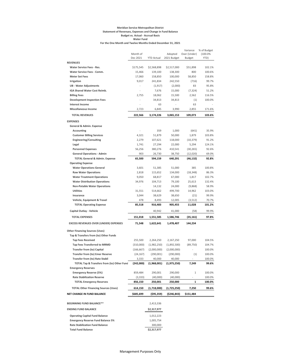#### **Meridian Service Metropolitan District Statement of Revenues, Expenses and Change in Fund Balance Budget vs. Actual - Accrual Basis Water Fund For the One Month and Twelve Months Ended December 31, 2021**

|                                                       |                          |                   |                    | Variance          | % of Budget      |
|-------------------------------------------------------|--------------------------|-------------------|--------------------|-------------------|------------------|
|                                                       | Month of                 |                   | Adopted            | Over (Under)      | (100.0%          |
|                                                       | Dec 2021                 | <b>YTD Actual</b> | 2021 Budget        | <b>Budget</b>     | YTD)             |
| <b>REVENUES</b>                                       |                          |                   |                    |                   |                  |
| <b>Water Service Fees - Res.</b>                      | \$175,545                | \$2,568,898       | \$2,517,000        | \$51,898          | 102.1%           |
| Water Service Fees - Comm.<br><b>Meter Set Fees</b>   | 15,466<br>17,060         | 139,100           | 138,300<br>100,000 | 800               | 100.6%           |
|                                                       | 9,017                    | 158,850           |                    | 58,850            | 158.8%<br>99.7%  |
| Irrigation                                            |                          | 241,834           | 242,550            | (716)             |                  |
| <b>UB - Water Adjustments</b>                         |                          | (1, 917)          | (2,000)            | 83                | 95.8%            |
| IGA Shared Water Cost Reimb.                          |                          | 7,676             | 15,000             | (7, 324)          | 51.2%            |
| <b>Billing Fees</b>                                   | 2,755                    | 18,062            | 15,500             | 2,562             | 116.5%<br>100.0% |
| <b>Development Inspection Fees</b>                    | $\overline{\phantom{a}}$ | 34,813            | 34,813             | (1)               |                  |
| <b>Interest Income</b><br><b>Miscellaneous Income</b> |                          | 63<br>6,845       |                    | 63                |                  |
|                                                       | 2,723                    |                   | 3,990              | 2,855             | 171.6%           |
| <b>TOTAL REVENUES</b>                                 | 222,566                  | 3,174,226         | 3,065,153          | 109,073           | 103.6%           |
| <b>EXPENSES</b>                                       |                          |                   |                    |                   |                  |
| General & Admin. Expense                              |                          |                   |                    |                   |                  |
| Accounting                                            |                          | 359               | 1,000              | (641)             | 35.9%            |
| <b>Customer Billing Services</b>                      | 4,321                    | 51,879            | 50,000             | 1,879             | 103.8%           |
| <b>Engineering/Consulting</b>                         | 2,279                    | 107,621           | 118,000            | (10, 379)         | 91.2%            |
| Legal                                                 | 1,741                    | 27,294            | 22,000             | 5,294             | 124.1%           |
| <b>Personnel Expenses</b>                             | 56,256                   | 380,276           | 410,541            | (30, 265)         | 92.6%            |
| <b>General Operations - Admin</b>                     | 903                      | 26,730            | 38,750             | (12,020)          | 69.0%            |
| <b>TOTAL General &amp; Admin. Expense</b>             | 65,500                   | 594,159           | 640,291            | (46, 132)         | 92.8%            |
| <b>Operating Expense</b>                              |                          |                   |                    |                   |                  |
| <b>Water Operations General</b>                       | 3,601                    | 51,385            | 51,000             | 385               | 100.8%           |
| <b>Raw Water Operations</b>                           | 2,818                    | 115,652           | 134,000            | (18, 348)         | 86.3%            |
| <b>Water Treatment Operations</b>                     | 9,050                    | 68,817            | 67,000             | 1,817             | 102.7%           |
| <b>Water Distribution Operations</b>                  | 34,976                   | 104,713           | 79,100             | 25,613            | 132.4%           |
| <b>Non-Potable Water Operations</b>                   |                          | 14,132            | 24,000             | (9,868)           | 58.9%            |
| <b>Utilities</b>                                      | 31,551                   | 514,662           | 499,700            | 14,962            | 103.0%           |
| Insurance                                             | 3,044                    | 38,629            | 38,650             | (21)              | 99.9%            |
| Vehicle, Equipment & Travel                           | 478                      | 8,493             | 12,005             | (3, 512)          | 70.7%            |
| <b>TOTAL Operating Expense</b>                        | 85,518                   | 916,483           | 905,455            | 11,028            | 101.2%           |
| Capital Outlay - Vehicle                              |                          | 40,942            | 41,000             | (58)              | 99.9%            |
|                                                       |                          |                   |                    |                   |                  |
| <b>TOTAL EXPENSES</b>                                 | 151,018                  | 1,551,585         | 1,586,746          | (35, 161)         | 97.8%            |
| <b>EXCESS REVENUES OVER (UNDER) EXPENSES</b>          | 71,548                   | 1,622,641         | 1,478,407          | 144,234           |                  |
| <b>Other Financing Sources (Uses)</b>                 |                          |                   |                    |                   |                  |
| Tap & Transfers from (to) Other Funds                 |                          |                   |                    |                   |                  |
| <b>Tap Fees Received</b>                              | 255,500                  | 2,264,250         | 2,167,250          | 97,000            | 104.5%           |
| <b>Tap Fees Transferred to MRMD</b>                   | (310,000)                | (1,982,250)       | (1,892,500)        | (89, 750)         | 104.7%           |
| <b>Transfer from (to) Capital</b>                     | (166, 667)               | (2,000,000)       | (2,000,000)        |                   | 100.0%           |
| <b>Transfer from (to) Emer Reserve</b>                | (24, 167)                | (290,001)         | (290,000)          | $\left( 1\right)$ | 100.0%           |
| <b>Transfer from (to) Rate Stabil</b>                 | 3,333                    | 40,000            | 40,000             |                   | 100.0%           |
| TOTAL Tap & Transfers from (to) Other Fund            | (242,000)                | (1,968,001)       | (1,975,250)        | 7,249             | 99.6%            |
| <b>Emergency Reserves</b>                             |                          |                   |                    |                   |                  |
| <b>Emergency Reserve (5%)</b>                         | 859,484                  | 290,001           | 290,000            | 1                 | 100.0%           |
| <b>Rate Stabilization Reserve</b>                     | (3, 333)                 | (40,000)          | (40,000)           |                   | 100.0%           |
| <b>TOTAL Emergency Reserves</b>                       | 856,150                  | 250,001           | 250,000            | 1                 | 100.0%           |
| <b>TOTAL Other Financing Sources (Uses)</b>           | 614,150                  | (1,718,000)       | (1,725,250)        | 7,250             | 99.6%            |
| NET CHANGE IN FUND BALANCE                            | \$685,699                | $($ \$95,359)     | (\$246,843)        | \$151,484         |                  |
|                                                       |                          |                   |                    |                   |                  |
| <b>BEGINNING FUND BALANCE**</b>                       |                          | 2,413,336         |                    |                   |                  |
| <b>ENDING FUND BALANCE</b>                            |                          | \$2,317,977       |                    |                   |                  |
| <b>Operating Capital Fund Balance</b>                 |                          | 1,012,223         |                    |                   |                  |
| <b>Emergency Reserve Fund Balance 5%</b>              |                          | 1,005,754         |                    |                   |                  |
| <b>Rate Stabilization Fund Balance</b>                |                          | 300,000           |                    |                   |                  |
| <b>Total Fund Balance</b>                             |                          | \$2,317,977       |                    |                   |                  |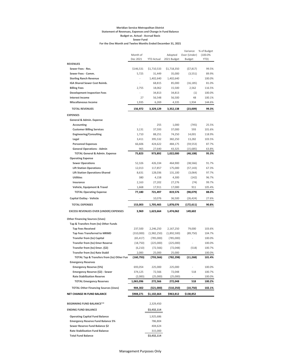#### **Meridian Service Metropolitan District Statement of Revenues, Expenses and Change in Fund Balance Budget vs. Actual - Accrual Basis Sewer Fund For the One Month and Twelve Months Ended December 31, 2021**

|                                                                            |                      |                     |                     | Variance       | % of Budget      |
|----------------------------------------------------------------------------|----------------------|---------------------|---------------------|----------------|------------------|
|                                                                            | Month of<br>Dec 2021 |                     | Adopted             | Over (Under)   | (100.0%          |
|                                                                            |                      | <b>YTD Actual</b>   | 2021 Budget         | <b>Budget</b>  | YTD)             |
| <b>REVENUES</b>                                                            |                      |                     |                     |                |                  |
| Sewer Fees - Res.                                                          | \$146,531            | \$1,710,533         | \$1,718,350         | (57, 817)      | 99.5%            |
| Sewer Fees - Comm.                                                         | 5,725                | 31,449              | 35,000              | (3,551)        | 89.9%            |
| <b>Sterling Ranch Revenue</b>                                              |                      | 1,402,640           | 1,402,640           |                | 100.0%           |
| IGA Shared Sewer Cost Reimb.                                               |                      | 68,815              | 85,000              | (16, 185)      | 81.0%            |
| <b>Billing Fees</b>                                                        | 2,755                | 18,062              | 15,500              | 2,562          | 116.5%           |
| <b>Development Inspection Fees</b>                                         |                      | 34,813              | 34,813              | (1)            | 100.0%           |
| <b>Interest Income</b><br><b>Miscellaneous Income</b>                      | 27                   | 56,548              | 56,500              | 48             | 100.1%           |
|                                                                            | 1,935                | 6,269               | 4,335               | 1,934          | 144.6%           |
| <b>TOTAL REVENUES</b>                                                      | 156,972              | 3,329,129           | 3,352,138           | (23,009)       | 99.3%            |
| <b>EXPENSES</b>                                                            |                      |                     |                     |                |                  |
| General & Admin. Expense                                                   |                      |                     |                     |                |                  |
| Accounting                                                                 |                      | 255                 | 1,000               | (745)          | 25.5%            |
| <b>Customer Billing Services</b>                                           | 3,131                | 37,593              | 37,000              | 593            | 101.6%           |
| <b>Engineering/Consulting</b>                                              | 1,710                | 88,251              | 74,250              | 14,001         | 118.9%           |
| Legal                                                                      | 3,411                | 395,532             | 382,250             | 13,282         | 103.5%           |
| <b>Personnel Expenses</b>                                                  | 66,606               | 424,622             | 484,175             | (59, 553)      | 87.7%            |
| <b>General Operations - Admin</b>                                          | 965                  | 27,640              | 43,325              | (15,685)       | 63.8%            |
| <b>TOTAL General &amp; Admin. Expense</b>                                  | 75,823               | 973,892             | 1,022,000           | (48, 108)      | 95.3%            |
| <b>Operating Expense</b>                                                   |                      |                     |                     |                |                  |
| <b>Sewer Operations</b>                                                    | 52,326               | 426,334             | 464,900             | (38, 566)      | 91.7%            |
| <b>Lift Station Operations</b>                                             | 12,013               | 117,857             | 175,000             | (57, 143)      | 67.3%            |
| <b>Lift Station Operations-Shared</b>                                      | 8,631                | 128,036             | 131,100             | (3,064)        | 97.7%            |
| <b>Utilities</b>                                                           | 380                  | 4,158               | 4,300               | (142)          | 96.7%            |
| Insurance                                                                  | 2,163                | 27,202              | 27,276              | (74)           | 99.7%            |
| Vehicle, Equipment & Travel                                                | 1,668                | 17,911              | 17,000              | 911            | 105.4%           |
| <b>TOTAL Operating Expense</b>                                             | 77,180               | 721,497             | 819,576             | (98, 079)      | 88.0%            |
| Capital Outlay - Vehicle                                                   |                      | 10,076              | 36,500              | (26, 424)      | 27.6%            |
| <b>TOTAL EXPENSES</b>                                                      | 153,003              | 1,705,465           | 1,878,076           | (172,611)      | 90.8%            |
| <b>EXCESS REVENUES OVER (UNDER) EXPENSES</b>                               | 3,969                | 1,623,664           | 1,474,062           | 149,602        |                  |
| <b>Other Financing Sources (Uses)</b>                                      |                      |                     |                     |                |                  |
| Tap & Transfers from (to) Other Funds                                      |                      |                     |                     |                |                  |
| <b>Tap Fees Received</b>                                                   | 237,500              | 2,246,250           | 2,167,250           | 79,000         | 103.6%           |
| <b>Tap Fees Transferred to MRMD</b>                                        | (310,000)            | (1,982,250)         | (1,892,500)         | (89, 750)      | 104.7%           |
| <b>Transfer from (to) Capital</b>                                          | (65, 417)            | (785,000)           | (785,000)           |                | 100.0%           |
| <b>Transfer from (to) Emer Reserve</b>                                     | (18, 750)            | (225,000)           | (225,000)           | ÷,             | 100.0%           |
| Transfer from (to) Emer. (\$2)                                             |                      |                     |                     |                | 100.7%           |
| <b>Transfer from (to) Rate Stabil</b>                                      | (6, 210)<br>2,083    | (72, 566)<br>25,000 | (72, 048)<br>25,000 | (518)<br>÷,    | 100.0%           |
|                                                                            |                      |                     |                     |                | 101.4%           |
| TOTAL Tap & Transfers from (to) Other Fun                                  | (160, 793)           | (793,566)           | (782,298)           | (11,268)       |                  |
| <b>Emergency Reserves</b><br><b>Emergency Reserve (5%)</b>                 |                      |                     |                     | $\blacksquare$ | 100.0%           |
|                                                                            | 693,054              | 225,000             | 225,000             | 518            | 100.7%           |
| Emergency Reserve (\$2) - Sewer<br><b>Rate Stabilization Reserve</b>       | 374,125              | 72,566              | 72,048              |                |                  |
| <b>TOTAL Emergency Reserves</b>                                            | (2,083)<br>1,065,096 | (25,000)<br>272,566 | (25,000)<br>272,048 | 518            | 100.0%<br>100.2% |
|                                                                            |                      |                     |                     |                |                  |
| <b>TOTAL Other Financing Sources (Uses)</b>                                | 904,302              | (521,000)           | (510, 250)          | (10,750)       | 102.1%           |
| NET CHANGE IN FUND BALANCE                                                 | \$908,271            | \$1,102,664         | \$963,812           | \$138,852      |                  |
| BEGINNING FUND BALANCE**                                                   |                      | 2,329,450           |                     |                |                  |
| <b>ENDING FUND BALANCE</b>                                                 |                      | \$3,432,114         |                     |                |                  |
|                                                                            |                      |                     |                     |                |                  |
| <b>Operating Capital Fund Balance</b>                                      |                      | 1,925,686           |                     |                |                  |
| <b>Emergency Reserve Fund Balance 5%</b><br>Sewer Reserve Fund Balance \$2 |                      | 786,804             |                     |                |                  |
| <b>Rate Stabilization Fund Balance</b>                                     |                      | 404,624<br>315,000  |                     |                |                  |
|                                                                            |                      |                     |                     |                |                  |
| <b>Total Fund Balance</b>                                                  |                      | \$3,432,114         |                     |                |                  |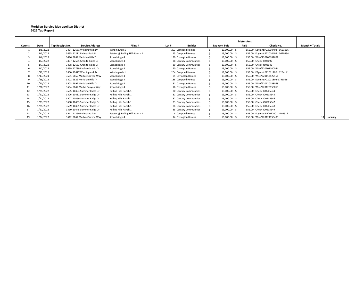#### **Meridian Service Metropolitan District 2022 Tap Report**

|                |           |                 |                              |                                 |       |                        |                     | <b>Meter Amt</b> |                                   |                       |            |
|----------------|-----------|-----------------|------------------------------|---------------------------------|-------|------------------------|---------------------|------------------|-----------------------------------|-----------------------|------------|
| Counts         | Date      | Tap Receipt No. | <b>Service Address</b>       | Filing #                        | Lot # | Builder                | <b>Tap Amt Paid</b> | Paid             | Check No.                         | <b>Monthly Totals</b> |            |
|                | 1/5/2022  |                 | 3494 12681 Windingwalk Dr    | Windingwalk 1                   |       | 203 Campbell Homes     | 19,000.00 \$        |                  | 655.00 Epymnt:P22010402 - 0621066 |                       |            |
|                | 1/5/2022  |                 | 3495 11211 Palmer Peak Pl    | Estates @ Rolling Hills Ranch 1 |       | 15 Campbell Homes      | 19,000.00 \$        |                  | 655.00 Epymnt:P22010402 - 0620994 |                       |            |
| 3              | 1/6/2022  |                 | 3496 9884 Meridian Hills Tr  | Stonebridge 4                   |       | 130 Covington Homes    | 19,000.00 \$        |                  | 655.00 Wire/220106187662          |                       |            |
| $\overline{4}$ | 1/7/2022  |                 | 3497 12661 Granite Ridge Dr  | Stonebridge 4                   |       | 38 Century Communities | 19,000.00 \$        |                  | 655.00 Check #502092              |                       |            |
| 5              | 1/7/2022  |                 | 3498 12653 Granite Ridge Dr  | Stonebridge 4                   |       | 39 Century Communities | 19,000.00 \$        |                  | 655.00 Check #502042              |                       |            |
| 6              | 1/7/2022  |                 | 3499 12739 Enclave Scenic Dr | Stonebridge 4                   |       | 120 Covington Homes    | 19,000.00 \$        |                  | 655.00 Wire/220107100044          |                       |            |
|                | 1/12/2022 |                 | 3500 12677 Windingwalk Dr    | Windingwalk 1                   |       | 204 Campbell Homes     | 19,000.00 \$        |                  | 655.00 EPymnt:P22011102 - 1264141 |                       |            |
| 8              | 1/13/2021 |                 | 3501 9852 Marble Canyon Way  | Stonebridge 4                   |       | 75 Covington Homes     | 19,000.00 \$        |                  | 655.00 Wire/220113127161          |                       |            |
| 9              | 1/19/2022 |                 | 3502 9829 Meridian Hills Tr  | Stonebridge 4                   |       | 188 Campbell Homes     | 19,000.00 \$        |                  | 655.00 Epymnt:P22011802-1796529   |                       |            |
| 10             | 1/20/2022 |                 | 3503 9892 Meridian Hills Tr  | Stonebridge 4                   |       | 131 Covington Homes    | 19,000.00 \$        |                  | 655.00 Wire/220120158068          |                       |            |
| 11             | 1/20/2022 |                 | 3504 9842 Marbe Canyon Way   | Stonebridge 4                   |       | 76 Covington Homes     | 19,000.00 \$        |                  | 655.00 Wire/220120158068          |                       |            |
| 12             | 1/21/2022 |                 | 3505 10493 Summer Ridge Dr   | Rolling Hills Ranch 1           |       | 30 Century Communities | 19,000.00 \$        |                  | 655.00 Check #00505544            |                       |            |
| 13             | 1/21/2022 |                 | 3506 10481 Summer Ridge Dr   | Rolling Hills Ranch 1           |       | 31 Century Communities | 19,000.00 \$        |                  | 655.00 Check #00505545            |                       |            |
| 14             | 1/21/2022 |                 | 3507 10469 Summer Ridge Dr   | Rolling Hills Ranch 1           |       | 32 Century Communities | 19,000.00 \$        |                  | 655.00 Check #00505546            |                       |            |
| 15             | 1/21/2022 |                 | 3508 10463 Summer Ridge Dr   | Rolling Hills Ranch 1           |       | 33 Century Communities | 19,000.00 \$        |                  | 655.00 Check #00505547            |                       |            |
| 16             | 1/21/2022 |                 | 3509 10451 Summer Ridge Dr   | Rolling Hills Ranch 1           |       | 34 Century Communities | 19,000.00 \$        |                  | 655.00 Check #00505548            |                       |            |
| 17             | 1/21/2022 |                 | 3510 10445 Summer Ridge Dr   | Rolling Hills Ranch 1           |       | 35 Century Communities | 19,000.00 \$        |                  | 655.00 Check #00505549            |                       |            |
| 18             | 1/21/2022 |                 | 3511 11360 Palmer Peak Pl    | Estates @ Rolling Hills Ranch 1 |       | 8 Campbell Homes       | 19,000.00 \$        |                  | 655.00 Epymnt: P22012002-2104519  |                       |            |
| 19             | 1/24/2022 |                 | 3512 9862 Marble Canyon Way  | Stonebridge 4                   |       | 74 Covington Homes     | 19,000.00 \$        |                  | 655.00 Wire/220124158403          |                       | 19 January |

 $\overline{\phantom{0}}$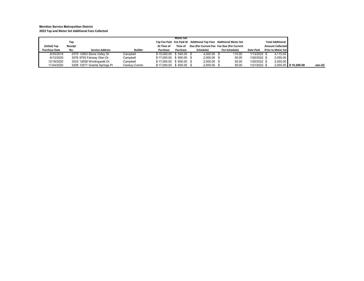#### **Meridian Service Metropolitan District 2022 Tap and Meter Set Additional Fees Collected**

|                                       | Tap            |                               |              |                         | Meter Set |               | Tap Fee Paid Fee Paid At Additional Tap Fees Additional Meter Set         |                  | <b>Total Additional</b>                              |  |                      |  |  |  |               |
|---------------------------------------|----------------|-------------------------------|--------------|-------------------------|-----------|---------------|---------------------------------------------------------------------------|------------------|------------------------------------------------------|--|----------------------|--|--|--|---------------|
| (Initial) Tap<br><b>Purchase Date</b> | Receipt<br>No. | <b>Service Address</b>        | Builder      | At Time of<br>Purchase  | Purchase  | Schedule)     | Time of Due (Per Current Fee Fee Due (Per Current<br><b>Fee Schedule)</b> | <b>Date Paid</b> | <b>Amount Collected</b><br><b>Prior to Meter Set</b> |  |                      |  |  |  |               |
| 8/30/2018                             |                | 2579 12963 Stone Valley Dr    | Campbell     | \$15,000.00 \$540.00 \$ |           | 4.000.00 \$   | 115.00                                                                    | 1/13/2022 \$     | 4.115.00                                             |  |                      |  |  |  |               |
| 6/12/2020                             |                | 3076 9793 Fairway Glen Dr     | Campbell     | \$17,000.00 \$600.00 \$ |           | $2.000.00$ \$ | 55.00                                                                     | 1/20/2022 \$     | 2,055.00                                             |  |                      |  |  |  |               |
| 12/18/2020                            |                | 3233 12658 Windingwalk Dr     | Campbell     | \$17,000.00 \$600.00 \$ |           | $2,000.00$ \$ | 55.00                                                                     | 1/20/2022 \$     | 2,055.00                                             |  |                      |  |  |  |               |
| 11/24/2020                            |                | 3208 12571 Granite Springs Pl | Century Comm | \$17,000.00 \$600.00 \$ |           | $2,000.00$ \$ | 55.00                                                                     | 1/21/2022 \$     |                                                      |  | 2,055.00 \$10,280.00 |  |  |  | <b>Jan-22</b> |